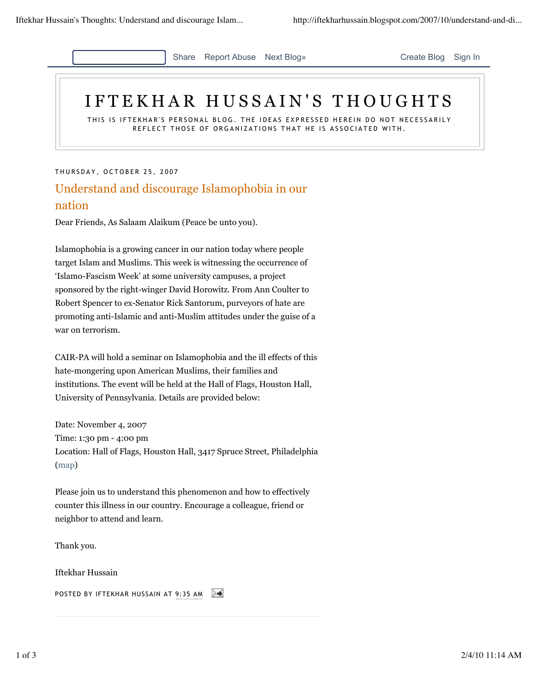

## IFTEKHAR HUSSAIN'S THOUGHTS

THIS IS IFTEKHAR'S PERSONAL BLOG. THE IDEAS EXPRESSED HEREIN DO NOT NECESSARILY REFLECT THOSE OF ORGANIZATIONS THAT HE IS ASSOCIATED WITH.

THURSDAY, OCTOBER 25, 2007

## Understand and discourage Islamophobia in our nation

Dear Friends, As Salaam Alaikum (Peace be unto you).

Islamophobia is a growing cancer in our nation today where people target Islam and Muslims. This week is witnessing the occurrence of 'Islamo-Fascism Week' at some university campuses, a project sponsored by the right-winger David Horowitz. From Ann Coulter to Robert Spencer to ex-Senator Rick Santorum, purveyors of hate are promoting anti-Islamic and anti-Muslim attitudes under the guise of a war on terrorism.

CAIR-PA will hold a seminar on Islamophobia and the ill effects of this hate-mongering upon American Muslims, their families and institutions. The event will be held at the Hall of Flags, Houston Hall, University of Pennsylvania. Details are provided below:

Date: November 4, 2007 Time: 1:30 pm - 4:00 pm Location: Hall of Flags, Houston Hall, 3417 Spruce Street, Philadelphia (map)

Please join us to understand this phenomenon and how to effectively counter this illness in our country. Encourage a colleague, friend or neighbor to attend and learn.

Thank you.

Iftekhar Hussain

POSTED BY IFTEKHAR HUSSAIN AT 9:35 AM ≻∢